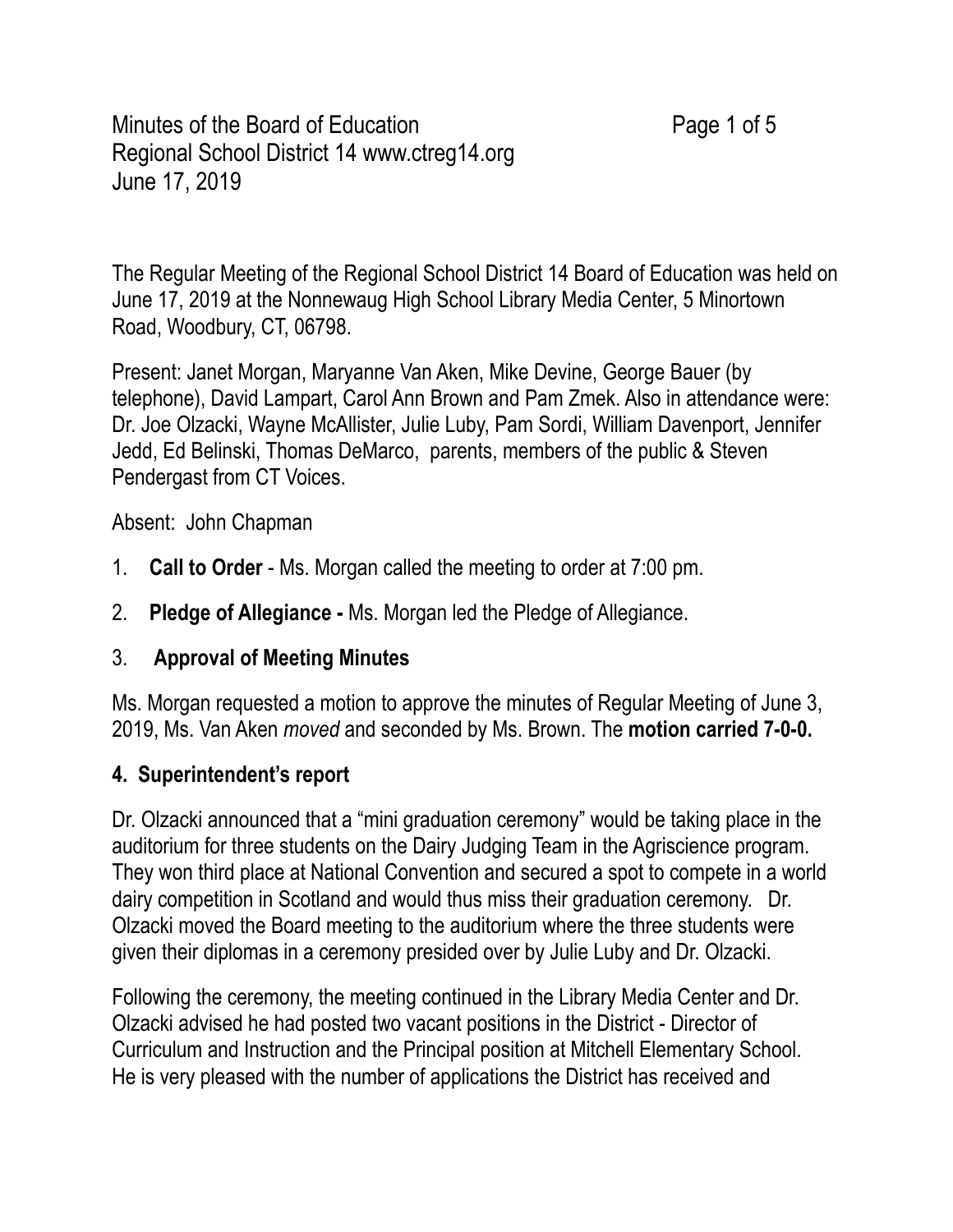Minutes of the Board of Education **Page 1 of 5** Regional School District 14 [www.ctreg14.org](www.ctreg14.org) June 17, 2019

The Regular Meeting of the Regional School District 14 Board of Education was held on June 17, 2019 at the Nonnewaug High School Library Media Center, 5 Minortown Road, Woodbury, CT, 06798.

Present: Janet Morgan, Maryanne Van Aken, Mike Devine, George Bauer (by telephone), David Lampart, Carol Ann Brown and Pam Zmek. Also in attendance were: Dr. Joe Olzacki, Wayne McAllister, Julie Luby, Pam Sordi, William Davenport, Jennifer Jedd, Ed Belinski, Thomas DeMarco, parents, members of the public & Steven Pendergast from CT Voices.

Absent: John Chapman

- 1. **Call to Order**  Ms. Morgan called the meeting to order at 7:00 pm.
- 2. **Pledge of Allegiance** Ms. Morgan led the Pledge of Allegiance.
- 3. **Approval of Meeting Minutes**

Ms. Morgan requested a motion to approve the minutes of Regular Meeting of June 3, 2019, Ms. Van Aken *moved* and seconded by Ms. Brown. The **motion carried 7-0-0.** 

## **4. Superintendent's report**

Dr. Olzacki announced that a "mini graduation ceremony" would be taking place in the auditorium for three students on the Dairy Judging Team in the Agriscience program. They won third place at National Convention and secured a spot to compete in a world dairy competition in Scotland and would thus miss their graduation ceremony. Dr. Olzacki moved the Board meeting to the auditorium where the three students were given their diplomas in a ceremony presided over by Julie Luby and Dr. Olzacki.

Following the ceremony, the meeting continued in the Library Media Center and Dr. Olzacki advised he had posted two vacant positions in the District - Director of Curriculum and Instruction and the Principal position at Mitchell Elementary School. He is very pleased with the number of applications the District has received and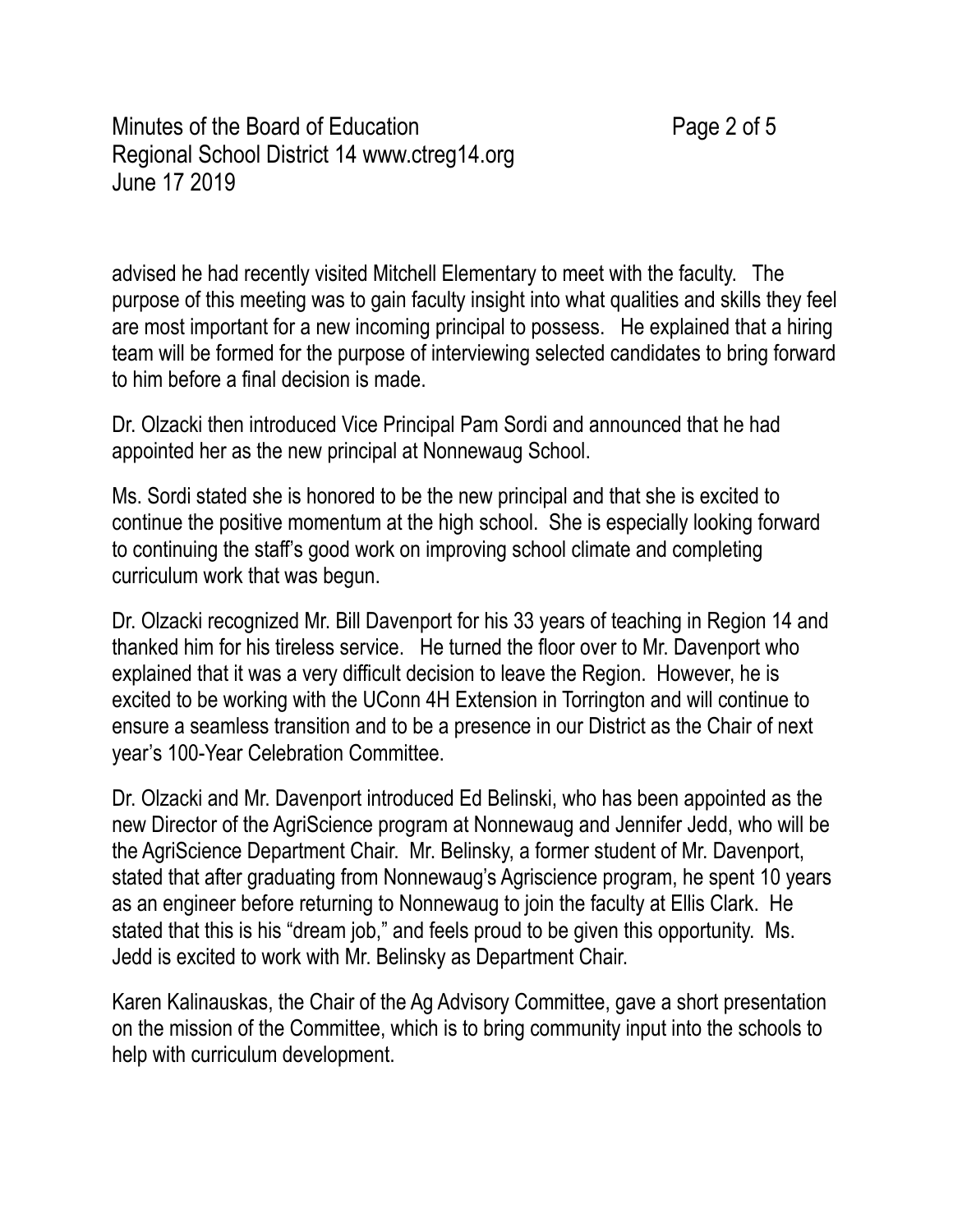Minutes of the Board of Education **Page 2 of 5** June 17 2019 Regional School District 14 [www.ctreg14.org](www.ctreg14.org)

advised he had recently visited Mitchell Elementary to meet with the faculty. The purpose of this meeting was to gain faculty insight into what qualities and skills they feel are most important for a new incoming principal to possess. He explained that a hiring team will be formed for the purpose of interviewing selected candidates to bring forward to him before a final decision is made.

Dr. Olzacki then introduced Vice Principal Pam Sordi and announced that he had appointed her as the new principal at Nonnewaug School.

Ms. Sordi stated she is honored to be the new principal and that she is excited to continue the positive momentum at the high school. She is especially looking forward to continuing the staff's good work on improving school climate and completing curriculum work that was begun.

Dr. Olzacki recognized Mr. Bill Davenport for his 33 years of teaching in Region 14 and thanked him for his tireless service. He turned the floor over to Mr. Davenport who explained that it was a very difficult decision to leave the Region. However, he is excited to be working with the UConn 4H Extension in Torrington and will continue to ensure a seamless transition and to be a presence in our District as the Chair of next year's 100-Year Celebration Committee.

Dr. Olzacki and Mr. Davenport introduced Ed Belinski, who has been appointed as the new Director of the AgriScience program at Nonnewaug and Jennifer Jedd, who will be the AgriScience Department Chair. Mr. Belinsky, a former student of Mr. Davenport, stated that after graduating from Nonnewaug's Agriscience program, he spent 10 years as an engineer before returning to Nonnewaug to join the faculty at Ellis Clark. He stated that this is his "dream job," and feels proud to be given this opportunity. Ms. Jedd is excited to work with Mr. Belinsky as Department Chair.

 Karen Kalinauskas, the Chair of the Ag Advisory Committee, gave a short presentation on the mission of the Committee, which is to bring community input into the schools to help with curriculum development.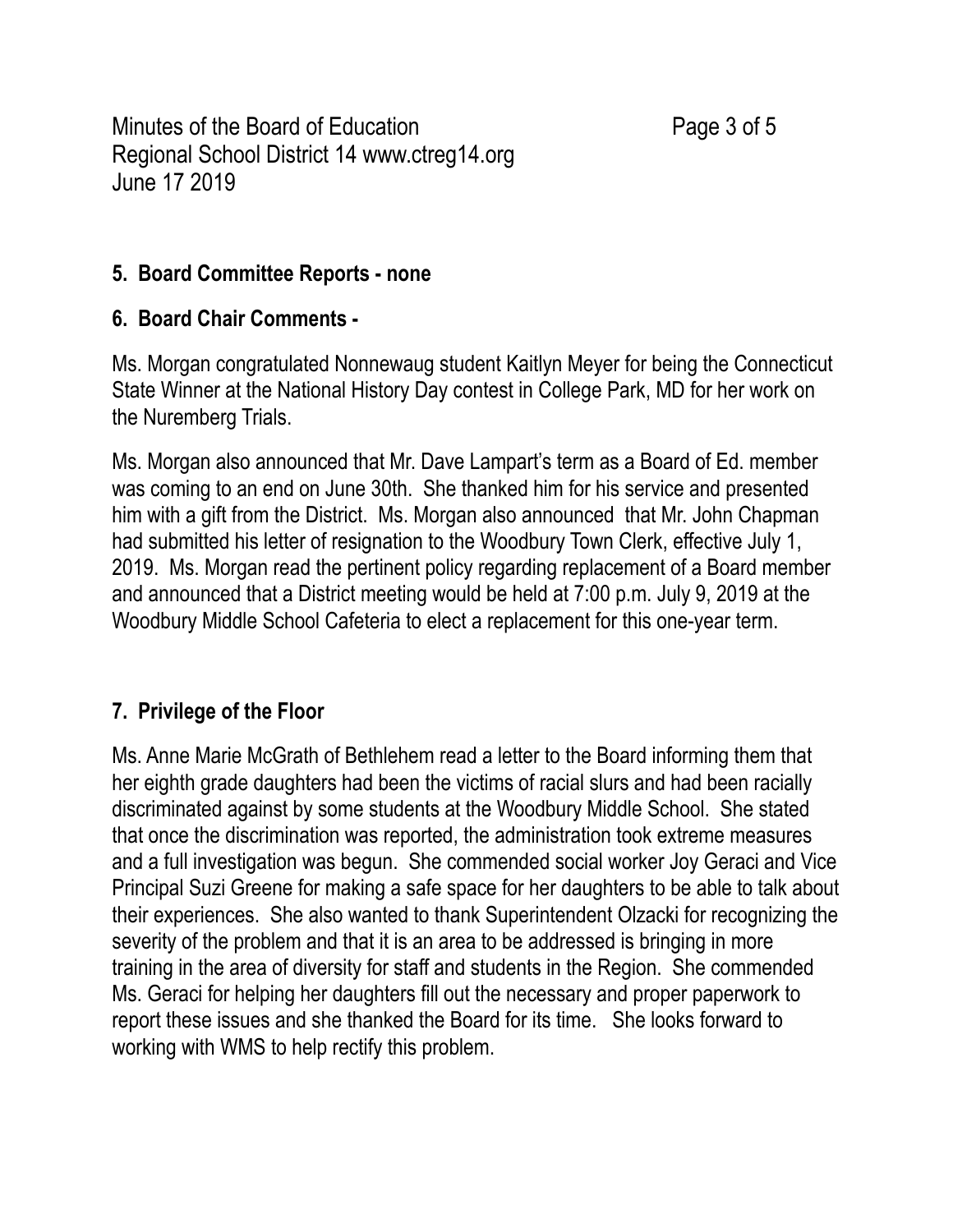Minutes of the Board of Education **Page 3 of 5**  June 17 2019 Regional School District 14 [www.ctreg14.org](www.ctreg14.org)

## **5. Board Committee Reports - none**

# **6. Board Chair Comments -**

Ms. Morgan congratulated Nonnewaug student Kaitlyn Meyer for being the Connecticut State Winner at the National History Day contest in College Park, MD for her work on the Nuremberg Trials.

Ms. Morgan also announced that Mr. Dave Lampart's term as a Board of Ed. member was coming to an end on June 30th. She thanked him for his service and presented him with a gift from the District. Ms. Morgan also announced that Mr. John Chapman had submitted his letter of resignation to the Woodbury Town Clerk, effective July 1, 2019. Ms. Morgan read the pertinent policy regarding replacement of a Board member and announced that a District meeting would be held at 7:00 p.m. July 9, 2019 at the Woodbury Middle School Cafeteria to elect a replacement for this one-year term.

# **7. Privilege of the Floor**

Ms. Anne Marie McGrath of Bethlehem read a letter to the Board informing them that her eighth grade daughters had been the victims of racial slurs and had been racially discriminated against by some students at the Woodbury Middle School. She stated that once the discrimination was reported, the administration took extreme measures and a full investigation was begun. She commended social worker Joy Geraci and Vice Principal Suzi Greene for making a safe space for her daughters to be able to talk about their experiences. She also wanted to thank Superintendent Olzacki for recognizing the severity of the problem and that it is an area to be addressed is bringing in more training in the area of diversity for staff and students in the Region. She commended Ms. Geraci for helping her daughters fill out the necessary and proper paperwork to report these issues and she thanked the Board for its time. She looks forward to working with WMS to help rectify this problem.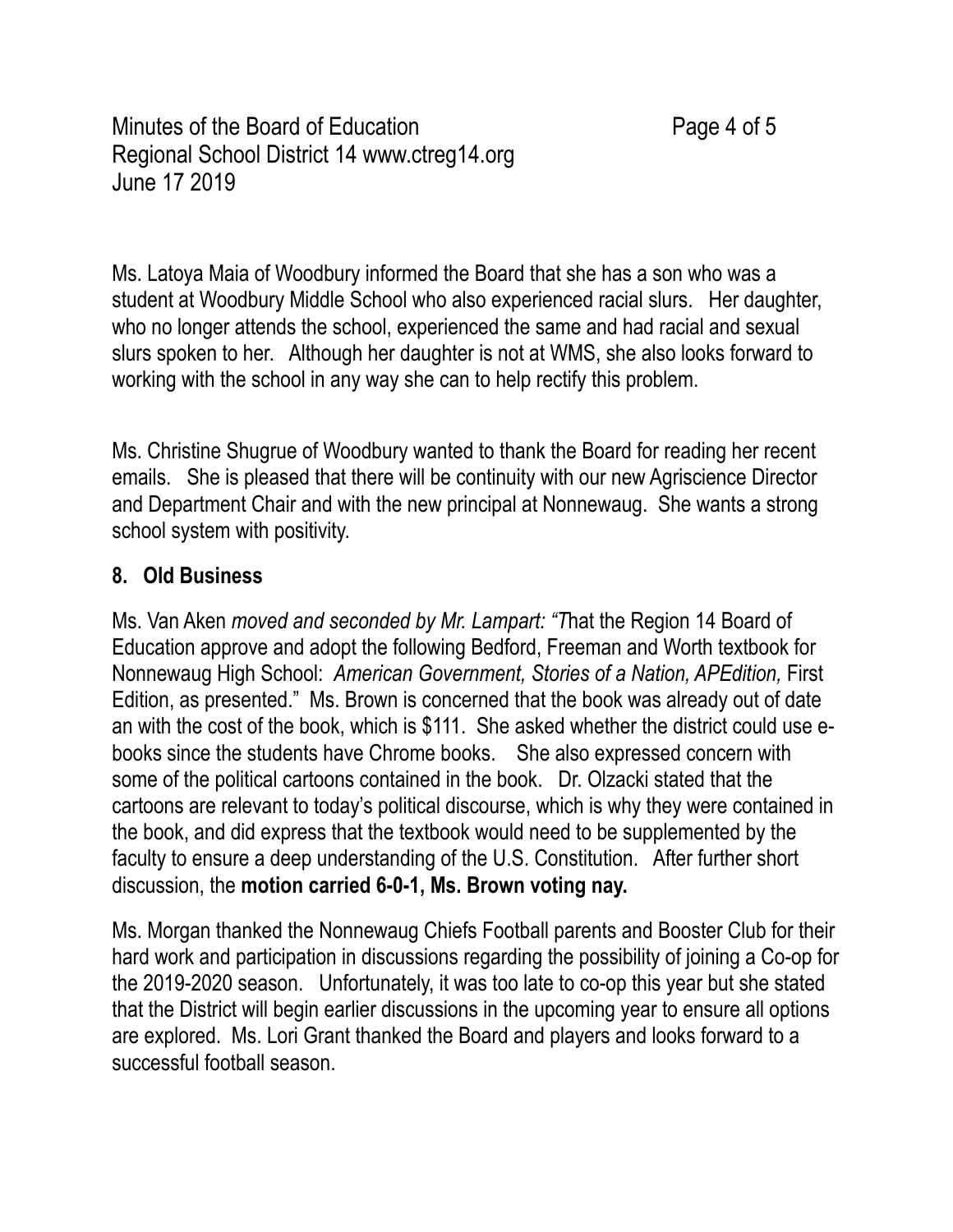Minutes of the Board of Education **Page 4 of 5** June 17 2019 Regional School District 14 [www.ctreg14.org](www.ctreg14.org)

Ms. Latoya Maia of Woodbury informed the Board that she has a son who was a student at Woodbury Middle School who also experienced racial slurs. Her daughter, who no longer attends the school, experienced the same and had racial and sexual slurs spoken to her. Although her daughter is not at WMS, she also looks forward to working with the school in any way she can to help rectify this problem.

Ms. Christine Shugrue of Woodbury wanted to thank the Board for reading her recent emails. She is pleased that there will be continuity with our new Agriscience Director and Department Chair and with the new principal at Nonnewaug. She wants a strong school system with positivity.

## **8. Old Business**

 Ms. Van Aken *moved and seconded by Mr. Lampart: "T*hat the Region 14 Board of Education approve and adopt the following Bedford, Freeman and Worth textbook for Nonnewaug High School: *American Government, Stories of a Nation, APEdition,* First Edition, as presented." Ms. Brown is concerned that the book was already out of date an with the cost of the book, which is \$111. She asked whether the district could use ebooks since the students have Chrome books. She also expressed concern with some of the political cartoons contained in the book. Dr. Olzacki stated that the cartoons are relevant to today's political discourse, which is why they were contained in the book, and did express that the textbook would need to be supplemented by the faculty to ensure a deep understanding of the U.S. Constitution. After further short discussion, the **motion carried 6-0-1, Ms. Brown voting nay.** 

Ms. Morgan thanked the Nonnewaug Chiefs Football parents and Booster Club for their hard work and participation in discussions regarding the possibility of joining a Co-op for the 2019-2020 season. Unfortunately, it was too late to co-op this year but she stated that the District will begin earlier discussions in the upcoming year to ensure all options are explored. Ms. Lori Grant thanked the Board and players and looks forward to a successful football season.